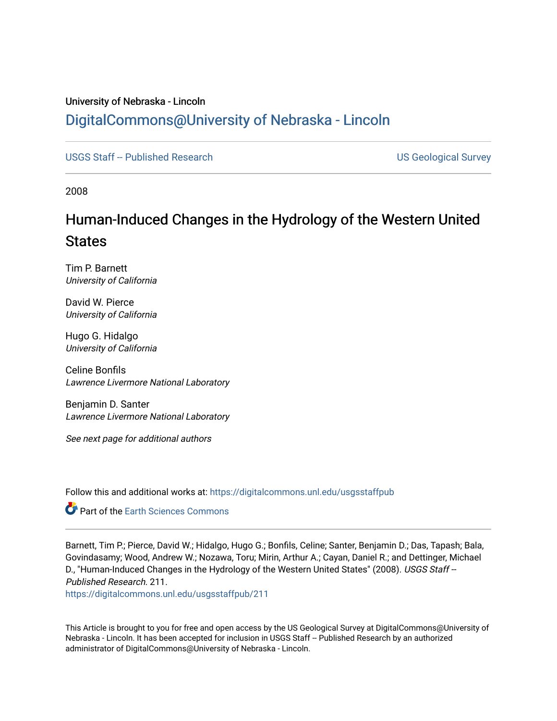### University of Nebraska - Lincoln [DigitalCommons@University of Nebraska - Lincoln](https://digitalcommons.unl.edu/)

[USGS Staff -- Published Research](https://digitalcommons.unl.edu/usgsstaffpub) **Network Constructs and Constructs** US Geological Survey

2008

## Human-Induced Changes in the Hydrology of the Western United **States**

Tim P. Barnett University of California

David W. Pierce University of California

Hugo G. Hidalgo University of California

Celine Bonfils Lawrence Livermore National Laboratory

Benjamin D. Santer Lawrence Livermore National Laboratory

See next page for additional authors

Follow this and additional works at: [https://digitalcommons.unl.edu/usgsstaffpub](https://digitalcommons.unl.edu/usgsstaffpub?utm_source=digitalcommons.unl.edu%2Fusgsstaffpub%2F211&utm_medium=PDF&utm_campaign=PDFCoverPages) 

**C** Part of the Earth Sciences Commons

Barnett, Tim P.; Pierce, David W.; Hidalgo, Hugo G.; Bonfils, Celine; Santer, Benjamin D.; Das, Tapash; Bala, Govindasamy; Wood, Andrew W.; Nozawa, Toru; Mirin, Arthur A.; Cayan, Daniel R.; and Dettinger, Michael D., "Human-Induced Changes in the Hydrology of the Western United States" (2008). USGS Staff --Published Research. 211.

[https://digitalcommons.unl.edu/usgsstaffpub/211](https://digitalcommons.unl.edu/usgsstaffpub/211?utm_source=digitalcommons.unl.edu%2Fusgsstaffpub%2F211&utm_medium=PDF&utm_campaign=PDFCoverPages) 

This Article is brought to you for free and open access by the US Geological Survey at DigitalCommons@University of Nebraska - Lincoln. It has been accepted for inclusion in USGS Staff -- Published Research by an authorized administrator of DigitalCommons@University of Nebraska - Lincoln.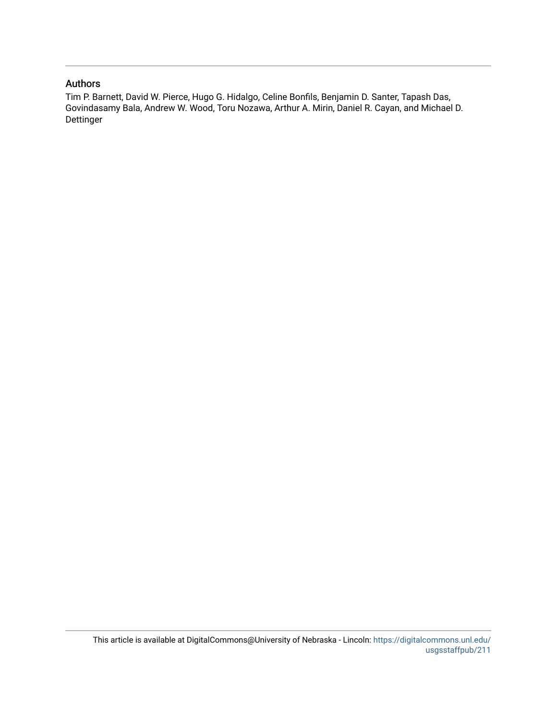### Authors

Tim P. Barnett, David W. Pierce, Hugo G. Hidalgo, Celine Bonfils, Benjamin D. Santer, Tapash Das, Govindasamy Bala, Andrew W. Wood, Toru Nozawa, Arthur A. Mirin, Daniel R. Cayan, and Michael D. Dettinger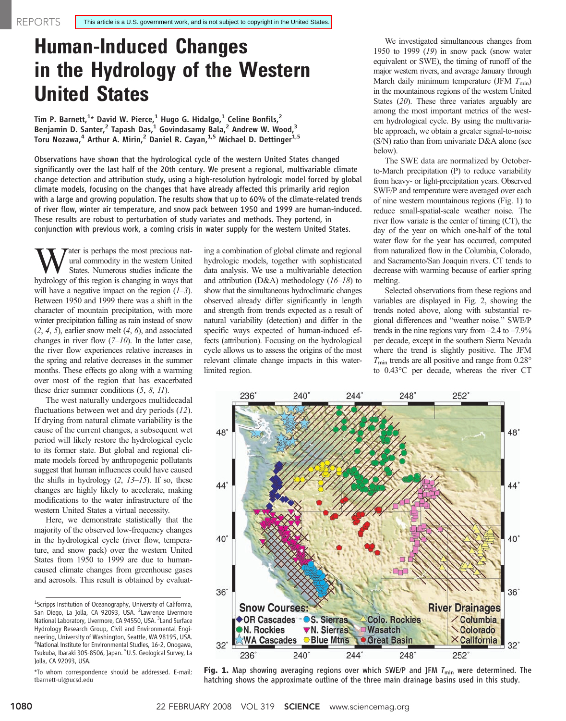# Human-Induced Changes in the Hydrology of the Western United States

Tim P. Barnett, $^{1\star}$  David W. Pierce, $^{1}$  Hugo G. Hidalgo, $^{1}$  Celine Bonfils, $^{2}$ Benjamin D. Santer,<sup>2</sup> Tapash Das,<sup>1</sup> Govindasamy Bala,<sup>2</sup> Andrew W. Wood,<sup>3</sup> Toru Nozawa,<sup>4</sup> Arthur A. Mirin,<sup>2</sup> Daniel R. Cayan,<sup>1,5</sup> Michael D. Dettinger<sup>1,5</sup>

Observations have shown that the hydrological cycle of the western United States changed significantly over the last half of the 20th century. We present a regional, multivariable climate change detection and attribution study, using a high-resolution hydrologic model forced by global climate models, focusing on the changes that have already affected this primarily arid region with a large and growing population. The results show that up to 60% of the climate-related trends of river flow, winter air temperature, and snow pack between 1950 and 1999 are human-induced. These results are robust to perturbation of study variates and methods. They portend, in conjunction with previous work, a coming crisis in water supply for the western United States.

**W**ater is perhaps the most precious nat-<br>states. Numerous studies indicate the<br>hydrology of this region is changing in ways that ural commodity in the western United States. Numerous studies indicate the hydrology of this region is changing in ways that will have a negative impact on the region  $(1-3)$ . Between 1950 and 1999 there was a shift in the character of mountain precipitation, with more winter precipitation falling as rain instead of snow  $(2, 4, 5)$ , earlier snow melt  $(4, 6)$ , and associated changes in river flow  $(7-10)$ . In the latter case, the river flow experiences relative increases in the spring and relative decreases in the summer months. These effects go along with a warming over most of the region that has exacerbated these drier summer conditions (5, 8, 11).

The west naturally undergoes multidecadal fluctuations between wet and dry periods (12). If drying from natural climate variability is the cause of the current changes, a subsequent wet period will likely restore the hydrological cycle to its former state. But global and regional climate models forced by anthropogenic pollutants suggest that human influences could have caused the shifts in hydrology  $(2, 13-15)$ . If so, these changes are highly likely to accelerate, making modifications to the water infrastructure of the western United States a virtual necessity.

Here, we demonstrate statistically that the majority of the observed low-frequency changes in the hydrological cycle (river flow, temperature, and snow pack) over the western United States from 1950 to 1999 are due to humancaused climate changes from greenhouse gases and aerosols. This result is obtained by evaluating a combination of global climate and regional hydrologic models, together with sophisticated data analysis. We use a multivariable detection and attribution (D&A) methodology  $(16–18)$  to show that the simultaneous hydroclimatic changes observed already differ significantly in length and strength from trends expected as a result of natural variability (detection) and differ in the specific ways expected of human-induced effects (attribution). Focusing on the hydrological cycle allows us to assess the origins of the most relevant climate change impacts in this waterlimited region.

We investigated simultaneous changes from 1950 to 1999 (19) in snow pack (snow water equivalent or SWE), the timing of runoff of the major western rivers, and average January through March daily minimum temperature (JFM  $T_{\text{min}}$ ) in the mountainous regions of the western United States (20). These three variates arguably are among the most important metrics of the western hydrological cycle. By using the multivariable approach, we obtain a greater signal-to-noise (S/N) ratio than from univariate D&A alone (see below).

The SWE data are normalized by Octoberto-March precipitation (P) to reduce variability from heavy- or light-precipitation years. Observed SWE/P and temperature were averaged over each of nine western mountainous regions (Fig. 1) to reduce small-spatial-scale weather noise. The river flow variate is the center of timing (CT), the day of the year on which one-half of the total water flow for the year has occurred, computed from naturalized flow in the Columbia, Colorado, and Sacramento/San Joaquin rivers. CT tends to decrease with warming because of earlier spring melting.

Selected observations from these regions and variables are displayed in Fig. 2, showing the trends noted above, along with substantial regional differences and "weather noise." SWE/P trends in the nine regions vary from  $-2.4$  to  $-7.9\%$ per decade, except in the southern Sierra Nevada where the trend is slightly positive. The JFM  $T_{\text{min}}$  trends are all positive and range from 0.28° to 0.43°C per decade, whereas the river CT



Fig. 1. Map showing averaging regions over which SWE/P and JFM  $T_{\text{min}}$  were determined. The hatching shows the approximate outline of the three main drainage basins used in this study.

<sup>&</sup>lt;sup>1</sup>Scripps Institution of Oceanography, University of California, San Diego, La Jolla, CA 92093, USA. <sup>2</sup>Lawrence Livermore National Laboratory, Livermore, CA 94550, USA. <sup>3</sup> Land Surface Hydrology Research Group, Civil and Environmental Engineering, University of Washington, Seattle, WA 98195, USA. 4 National Institute for Environmental Studies, 16-2, Onogawa, Tsukuba, Ibaraki 305-8506, Japan. <sup>5</sup>U.S. Geological Survey, La Jolla, CA 92093, USA.

<sup>\*</sup>To whom correspondence should be addressed. E-mail: tbarnett-ul@ucsd.edu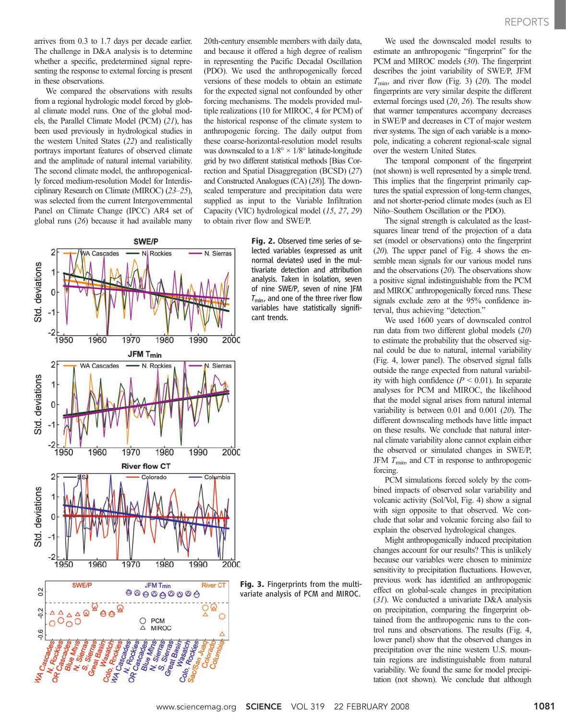arrives from 0.3 to 1.7 days per decade earlier. The challenge in D&A analysis is to determine whether a specific, predetermined signal representing the response to external forcing is present in these observations.

We compared the observations with results from a regional hydrologic model forced by global climate model runs. One of the global models, the Parallel Climate Model (PCM) (21), has been used previously in hydrological studies in the western United States (22) and realistically portrays important features of observed climate and the amplitude of natural internal variability. The second climate model, the anthropogenically forced medium-resolution Model for Interdisciplinary Research on Climate (MIROC) (23–25), was selected from the current Intergovernmental Panel on Climate Change (IPCC) AR4 set of global runs (26) because it had available many





20th-century ensemble members with daily data, and because it offered a high degree of realism in representing the Pacific Decadal Oscillation (PDO). We used the anthropogenically forced versions of these models to obtain an estimate for the expected signal not confounded by other forcing mechanisms. The models provided multiple realizations (10 for MIROC, 4 for PCM) of the historical response of the climate system to anthropogenic forcing. The daily output from these coarse-horizontal-resolution model results was downscaled to a  $1/8^{\circ} \times 1/8^{\circ}$  latitude-longitude grid by two different statistical methods [Bias Correction and Spatial Disaggregation (BCSD) (27) and Constructed Analogues (CA) (28)]. The downscaled temperature and precipitation data were supplied as input to the Variable Infiltration Capacity (VIC) hydrological model (15, 27, 29) to obtain river flow and SWE/P.

> Fig. 2. Observed time series of selected variables (expressed as unit normal deviates) used in the multivariate detection and attribution analysis. Taken in isolation, seven of nine SWE/P, seven of nine JFM  $T_{\text{min}}$ , and one of the three river flow variables have statistically significant trends.

Fig. 3. Fingerprints from the multivariate analysis of PCM and MIROC.

We used the downscaled model results to estimate an anthropogenic "fingerprint" for the PCM and MIROC models (30). The fingerprint describes the joint variability of SWE/P, JFM  $T_{\text{min}}$ , and river flow (Fig. 3) (20). The model fingerprints are very similar despite the different external forcings used (20, 26). The results show that warmer temperatures accompany decreases in SWE/P and decreases in CT of major western river systems. The sign of each variable is a monopole, indicating a coherent regional-scale signal over the western United States.

The temporal component of the fingerprint (not shown) is well represented by a simple trend. This implies that the fingerprint primarily captures the spatial expression of long-term changes, and not shorter-period climate modes (such as El Niño–Southern Oscillation or the PDO).

The signal strength is calculated as the leastsquares linear trend of the projection of a data set (model or observations) onto the fingerprint (20). The upper panel of Fig. 4 shows the ensemble mean signals for our various model runs and the observations (20). The observations show a positive signal indistinguishable from the PCM and MIROC anthropogenically forced runs. These signals exclude zero at the 95% confidence interval, thus achieving "detection."

We used 1600 years of downscaled control run data from two different global models (20) to estimate the probability that the observed signal could be due to natural, internal variability (Fig. 4, lower panel). The observed signal falls outside the range expected from natural variability with high confidence ( $P < 0.01$ ). In separate analyses for PCM and MIROC, the likelihood that the model signal arises from natural internal variability is between 0.01 and 0.001 (20). The different downscaling methods have little impact on these results. We conclude that natural internal climate variability alone cannot explain either the observed or simulated changes in SWE/P, JFM  $T_{\text{min}}$ , and CT in response to anthropogenic forcing.

PCM simulations forced solely by the combined impacts of observed solar variability and volcanic activity (Sol/Vol, Fig. 4) show a signal with sign opposite to that observed. We conclude that solar and volcanic forcing also fail to explain the observed hydrological changes.

Might anthropogenically induced precipitation changes account for our results? This is unlikely because our variables were chosen to minimize sensitivity to precipitation fluctuations. However, previous work has identified an anthropogenic effect on global-scale changes in precipitation (31). We conducted a univariate D&A analysis on precipitation, comparing the fingerprint obtained from the anthropogenic runs to the control runs and observations. The results (Fig. 4, lower panel) show that the observed changes in precipitation over the nine western U.S. mountain regions are indistinguishable from natural variability. We found the same for model precipitation (not shown). We conclude that although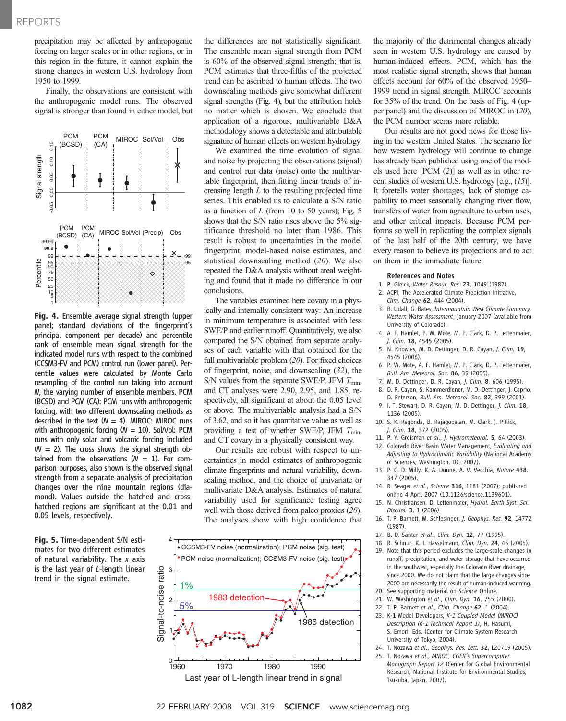precipitation may be affected by anthropogenic forcing on larger scales or in other regions, or in this region in the future, it cannot explain the strong changes in western U.S. hydrology from 1950 to 1999.

Finally, the observations are consistent with the anthropogenic model runs. The observed signal is stronger than found in either model, but



Fig. 4. Ensemble average signal strength (upper panel; standard deviations of the fingerprint's principal component per decade) and percentile rank of ensemble mean signal strength for the indicated model runs with respect to the combined (CCSM3-FV and PCM) control run (lower panel). Percentile values were calculated by Monte Carlo resampling of the control run taking into account N, the varying number of ensemble members. PCM (BCSD) and PCM (CA): PCM runs with anthropogenic forcing, with two different downscaling methods as described in the text  $(W = 4)$ . MIROC: MIROC runs with anthropogenic forcing  $(W = 10)$ . Sol/Vol: PCM runs with only solar and volcanic forcing included  $(N = 2)$ . The cross shows the signal strength obtained from the observations  $(W = 1)$ . For comparison purposes, also shown is the observed signal strength from a separate analysis of precipitation changes over the nine mountain regions (diamond). Values outside the hatched and crosshatched regions are significant at the 0.01 and 0.05 levels, respectively.

Fig. 5. Time-dependent S/N estimates for two different estimates of natural variability. The  $x$  axis is the last year of L-length linear trend in the signal estimate.

the differences are not statistically significant. The ensemble mean signal strength from PCM is 60% of the observed signal strength; that is, PCM estimates that three-fifths of the projected trend can be ascribed to human effects. The two downscaling methods give somewhat different signal strengths (Fig. 4), but the attribution holds no matter which is chosen. We conclude that application of a rigorous, multivariable D&A methodology shows a detectable and attributable signature of human effects on western hydrology.

We examined the time evolution of signal and noise by projecting the observations (signal) and control run data (noise) onto the multivariable fingerprint, then fitting linear trends of increasing length  $L$  to the resulting projected time series. This enabled us to calculate a S/N ratio as a function of  $L$  (from 10 to 50 years); Fig. 5 shows that the S/N ratio rises above the 5% significance threshold no later than 1986. This result is robust to uncertainties in the model fingerprint, model-based noise estimates, and statistical downscaling method  $(20)$ . We also repeated the D&A analysis without areal weighting and found that it made no difference in our conclusions.

The variables examined here covary in a physically and internally consistent way: An increase in minimum temperature is associated with less SWE/P and earlier runoff. Quantitatively, we also compared the S/N obtained from separate analyses of each variable with that obtained for the full multivariable problem (20). For fixed choices of fingerprint, noise, and downscaling (32), the S/N values from the separate SWE/P, JFM  $T_{\text{min}}$ , and CT analyses were 2.90, 2.95, and 1.85, respectively, all significant at about the 0.05 level or above. The multivariable analysis had a S/N of 3.62, and so it has quantitative value as well as providing a test of whether SWE/P, JFM  $T_{\text{min}}$ , and CT covary in a physically consistent way.

Our results are robust with respect to uncertainties in model estimates of anthropogenic climate fingerprints and natural variability, downscaling method, and the choice of univariate or multivariate D&A analysis. Estimates of natural variability used for significance testing agree well with those derived from paleo proxies (20). The analyses show with high confidence that



the majority of the detrimental changes already seen in western U.S. hydrology are caused by human-induced effects. PCM, which has the most realistic signal strength, shows that human effects account for 60% of the observed 1950– 1999 trend in signal strength. MIROC accounts for 35% of the trend. On the basis of Fig. 4 (upper panel) and the discussion of MIROC in (20), the PCM number seems more reliable.

Our results are not good news for those living in the western United States. The scenario for how western hydrology will continue to change has already been published using one of the models used here [PCM (2)] as well as in other recent studies of western U.S. hydrology [e.g.,  $(15)$ ]. It foretells water shortages, lack of storage capability to meet seasonally changing river flow, transfers of water from agriculture to urban uses, and other critical impacts. Because PCM performs so well in replicating the complex signals of the last half of the 20th century, we have every reason to believe its projections and to act on them in the immediate future.

#### References and Notes

- 1. P. Gleick, Water Resour. Res. 23, 1049 (1987).
- 2. ACPI, The Accelerated Climate Prediction Initiative, Clim. Change 62, 444 (2004).
- 3. B. Udall, G. Bates, Intermountain West Climate Summary, Western Water Assessment, January 2007 (available from University of Colorado).
- 4. A. F. Hamlet, P. W. Mote, M. P. Clark, D. P. Lettenmaier, J. Clim. 18, 4545 (2005).
- 5. N. Knowles, M. D. Dettinger, D. R. Cayan, J. Clim. 19, 4545 (2006).
- 6. P. W. Mote, A. F. Hamlet, M. P. Clark, D. P. Lettenmaier, Bull. Am. Meteorol. Soc. 86, 39 (2005).
- 7. M. D. Dettinger, D. R. Cayan, J. Clim. 8, 606 (1995).
- 8. D. R. Cayan, S. Kammerdiener, M. D. Dettinger, J. Caprio, D. Peterson, Bull. Am. Meteorol. Soc. 82, 399 (2001).
- 9. I. T. Stewart, D. R. Cayan, M. D. Dettinger, J. Clim. 18, 1136 (2005).
- 10. S. K. Regonda, B. Rajagopalan, M. Clark, J. Pitlick, J. Clim. 18, 372 (2005).
- 11. P. Y. Groisman et al., J. Hydrometeorol. 5, 64 (2003).
- 12. Colorado River Basin Water Management, Evaluating and Adjusting to Hydroclimatic Variability (National Academy of Sciences, Washington, DC, 2007).
- 13. P. C. D. Milly, K. A. Dunne, A. V. Vecchia, Nature 438, 347 (2005).
- 14. R. Seager et al., Science 316, 1181 (2007); published online 4 April 2007 (10.1126/science.1139601).
- 15. N. Christiansen, D. Lettenmaier, Hydrol. Earth Syst. Sci. Discuss. 3, 1 (2006).
- 16. T. P. Barnett, M. Schlesinger, J. Geophys. Res. 92, 14772 (1987).
- 17. B. D. Santer et al., Clim. Dyn. 12, 77 (1995).
- 18. R. Schnur, K. I. Hasselmann, Clim. Dyn. 24, 45 (2005). 19. Note that this period excludes the large-scale changes in runoff, precipitation, and water storage that have occurred in the southwest, especially the Colorado River drainage, since 2000. We do not claim that the large changes since
- 2000 are necessarily the result of human-induced warming.
- 20. See supporting material on Science Online.
- 21. W. Washington et al., Clim. Dyn. 16, 755 (2000). 22. T. P. Barnett et al., Clim. Change 62, 1 (2004).
- 23. K-1 Model Developers, K-1 Coupled Model (MIROC) Description (K-1 Technical Report 1), H. Hasumi, S. Emori, Eds. (Center for Climate System Research, University of Tokyo, 2004).
- 24. T. Nozawa et al., Geophys. Res. Lett. 32, L20719 (2005).
- 25. T. Nozawa et al., MIROC, CGER's Supercomputer Monograph Report 12 (Center for Global Environmental Research, National Institute for Environmental Studies, Tsukuba, Japan, 2007).